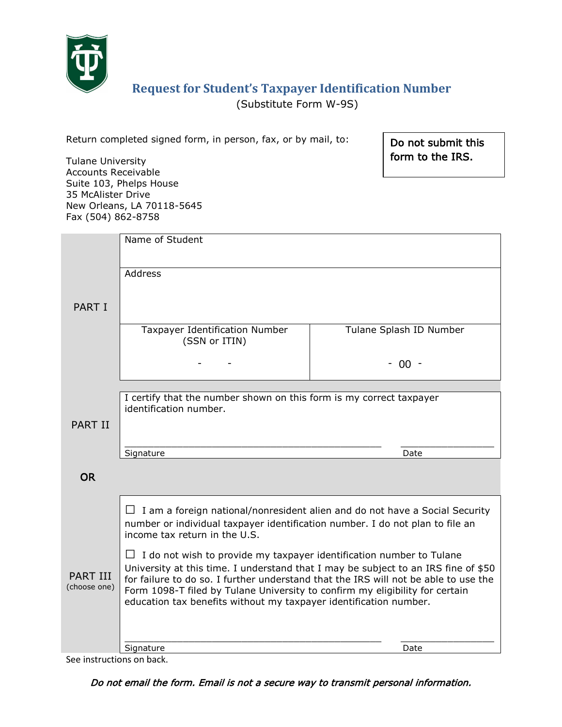

# **Request for Student's Taxpayer Identification Number**

(Substitute Form W-9S)

Do not submit this form to the IRS.

| Return completed signed form, in person, fax, or by mail, to: |  |  |  |  |
|---------------------------------------------------------------|--|--|--|--|
|                                                               |  |  |  |  |

Tulane University Accounts Receivable Suite 103, Phelps House 35 McAlister Drive New Orleans, LA 70118-5645 Fax (504) 862-8758

|                                 | Name of Student                                                                                                                                                                                                                                                                                                                |                         |  |  |  |  |  |
|---------------------------------|--------------------------------------------------------------------------------------------------------------------------------------------------------------------------------------------------------------------------------------------------------------------------------------------------------------------------------|-------------------------|--|--|--|--|--|
|                                 | <b>Address</b>                                                                                                                                                                                                                                                                                                                 |                         |  |  |  |  |  |
| <b>PART I</b>                   |                                                                                                                                                                                                                                                                                                                                |                         |  |  |  |  |  |
|                                 | Taxpayer Identification Number<br>(SSN or ITIN)                                                                                                                                                                                                                                                                                | Tulane Splash ID Number |  |  |  |  |  |
|                                 |                                                                                                                                                                                                                                                                                                                                | $-00 -$                 |  |  |  |  |  |
|                                 |                                                                                                                                                                                                                                                                                                                                |                         |  |  |  |  |  |
|                                 | I certify that the number shown on this form is my correct taxpayer<br>identification number.                                                                                                                                                                                                                                  |                         |  |  |  |  |  |
|                                 |                                                                                                                                                                                                                                                                                                                                |                         |  |  |  |  |  |
| <b>PART II</b>                  |                                                                                                                                                                                                                                                                                                                                |                         |  |  |  |  |  |
|                                 |                                                                                                                                                                                                                                                                                                                                | Date                    |  |  |  |  |  |
|                                 | Signature                                                                                                                                                                                                                                                                                                                      |                         |  |  |  |  |  |
| <b>OR</b>                       |                                                                                                                                                                                                                                                                                                                                |                         |  |  |  |  |  |
|                                 |                                                                                                                                                                                                                                                                                                                                |                         |  |  |  |  |  |
|                                 |                                                                                                                                                                                                                                                                                                                                |                         |  |  |  |  |  |
|                                 | $\Box$ I am a foreign national/nonresident alien and do not have a Social Security<br>number or individual taxpayer identification number. I do not plan to file an<br>income tax return in the U.S.                                                                                                                           |                         |  |  |  |  |  |
|                                 | I do not wish to provide my taxpayer identification number to Tulane<br>$\Box$                                                                                                                                                                                                                                                 |                         |  |  |  |  |  |
| <b>PART III</b><br>(choose one) | University at this time. I understand that I may be subject to an IRS fine of \$50<br>for failure to do so. I further understand that the IRS will not be able to use the<br>Form 1098-T filed by Tulane University to confirm my eligibility for certain<br>education tax benefits without my taxpayer identification number. |                         |  |  |  |  |  |
|                                 |                                                                                                                                                                                                                                                                                                                                |                         |  |  |  |  |  |
|                                 | Signature                                                                                                                                                                                                                                                                                                                      | Date                    |  |  |  |  |  |

See instructions on back.

Do not email the form. Email is not a secure way to transmit personal information.